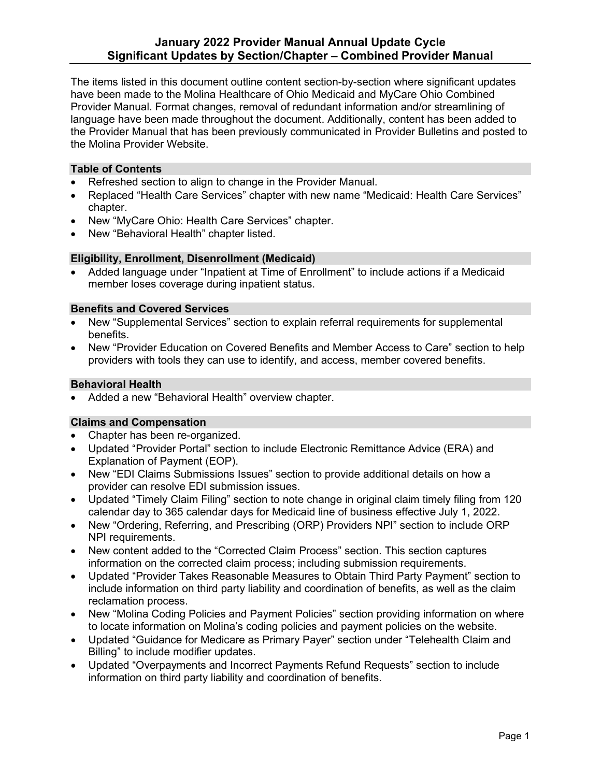the Provider Manual that has been previously communicated in Provider Bulletins and posted to The items listed in this document outline content section-by-section where significant updates have been made to the Molina Healthcare of Ohio Medicaid and MyCare Ohio Combined Provider Manual. Format changes, removal of redundant information and/or streamlining of language have been made throughout the document. Additionally, content has been added to the Molina Provider Website.

#### **Table of Contents**

- Refreshed section to align to change in the Provider Manual.
- Replaced "Health Care Services" chapter with new name "Medicaid: Health Care Services" chapter.
- New "MyCare Ohio: Health Care Services" chapter.
- New "Behavioral Health" chapter listed.

### **Eligibility, Enrollment, Disenrollment (Medicaid)**

• Added language under "Inpatient at Time of Enrollment" to include actions if a Medicaid member loses coverage during inpatient status.

## **Benefits and Covered Services**

- New "Supplemental Services" section to explain referral requirements for supplemental benefits.
- providers with tools they can use to identify, and access, member covered benefits. • New "Provider Education on Covered Benefits and Member Access to Care" section to help

# **Behavioral Health**

• Added a new "Behavioral Health" overview chapter.

#### **Claims and Compensation**

- Chapter has been re-organized.
- Updated "Provider Portal" section to include Electronic Remittance Advice (ERA) and Explanation of Payment (EOP).
- New "EDI Claims Submissions Issues" section to provide additional details on how a provider can resolve EDI submission issues.
- Updated "Timely Claim Filing" section to note change in original claim timely filing from 120 calendar day to 365 calendar days for Medicaid line of business effective July 1, 2022.
- • New "Ordering, Referring, and Prescribing (ORP) Providers NPI" section to include ORP NPI requirements.
- • New content added to the "Corrected Claim Process" section. This section captures information on the corrected claim process; including submission requirements.
- include information on third party liability and coordination of benefits, as well as the claim • Updated "Provider Takes Reasonable Measures to Obtain Third Party Payment" section to reclamation process.
- New "Molina Coding Policies and Payment Policies" section providing information on where to locate information on Molina's coding policies and payment policies on the website.
- Updated "Guidance for Medicare as Primary Payer" section under "Telehealth Claim and Billing" to include modifier updates.
- Updated "Overpayments and Incorrect Payments Refund Requests" section to include information on third party liability and coordination of benefits.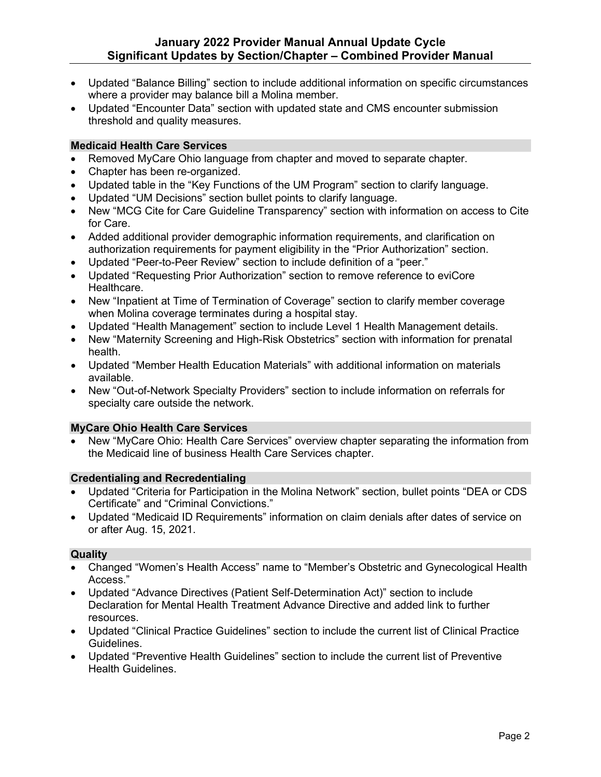- • Updated "Balance Billing" section to include additional information on specific circumstances where a provider may balance bill a Molina member.
- Updated "Encounter Data" section with updated state and CMS encounter submission threshold and quality measures.

# **Medicaid Health Care Services**

- Removed MyCare Ohio language from chapter and moved to separate chapter.
- Chapter has been re-organized.
- Updated table in the "Key Functions of the UM Program" section to clarify language.
- Updated "UM Decisions" section bullet points to clarify language.
- • New "MCG Cite for Care Guideline Transparency" section with information on access to Cite for Care.
- Added additional provider demographic information requirements, and clarification on authorization requirements for payment eligibility in the "Prior Authorization" section.
- Updated "Peer-to-Peer Review" section to include definition of a "peer."
- Updated "Requesting Prior Authorization" section to remove reference to eviCore Healthcare.
- • New "Inpatient at Time of Termination of Coverage" section to clarify member coverage when Molina coverage terminates during a hospital stay.
- Updated "Health Management" section to include Level 1 Health Management details.
- New "Maternity Screening and High-Risk Obstetrics" section with information for prenatal health.
- Updated "Member Health Education Materials" with additional information on materials available.
- • New "Out-of-Network Specialty Providers" section to include information on referrals for specialty care outside the network.

## **MyCare Ohio Health Care Services**

• New "MyCare Ohio: Health Care Services" overview chapter separating the information from the Medicaid line of business Health Care Services chapter.

## **Credentialing and Recredentialing**

- Updated "Criteria for Participation in the Molina Network" section, bullet points "DEA or CDS Certificate" and "Criminal Convictions."
- Updated "Medicaid ID Requirements" information on claim denials after dates of service on or after Aug. 15, 2021.

## **Quality**

- Changed "Women's Health Access" name to "Member's Obstetric and Gynecological Health Access."
- resources. • Updated "Advance Directives (Patient Self-Determination Act)" section to include Declaration for Mental Health Treatment Advance Directive and added link to further
- • Updated "Clinical Practice Guidelines" section to include the current list of Clinical Practice Guidelines.
- • Updated "Preventive Health Guidelines" section to include the current list of Preventive **Health Guidelines.** Health Guidelines.<br>Page 2<br>Page 2